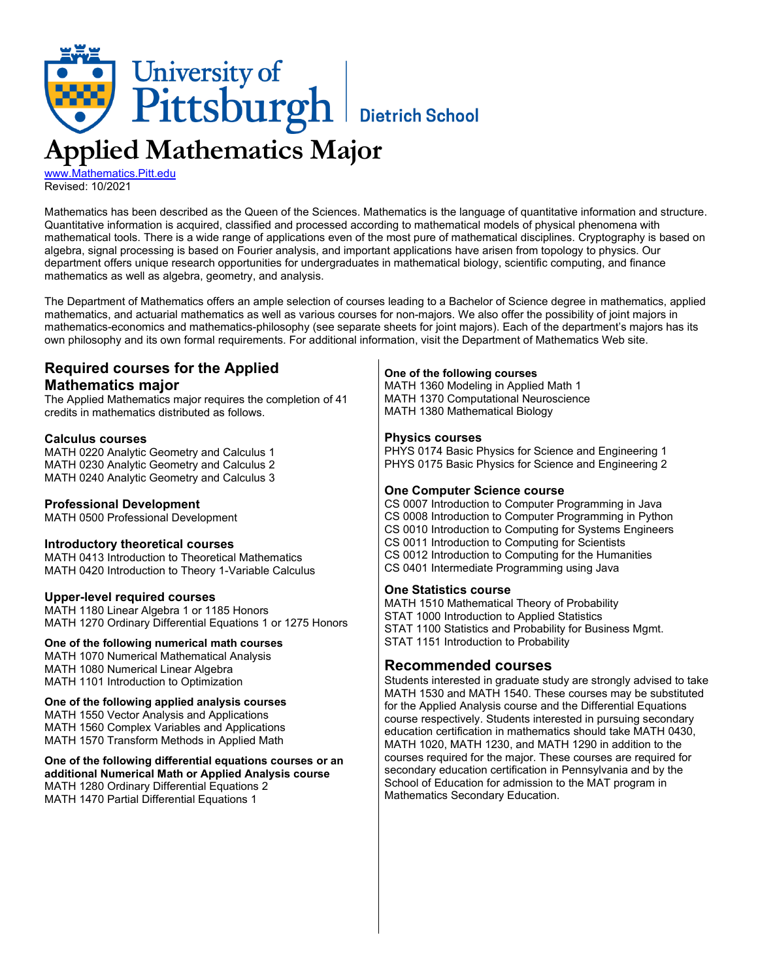

[www.Mathematics.Pitt.edu](http://www.mathematics.pitt.edu/) Revised: 10/2021

Mathematics has been described as the Queen of the Sciences. Mathematics is the language of quantitative information and structure. Quantitative information is acquired, classified and processed according to mathematical models of physical phenomena with mathematical tools. There is a wide range of applications even of the most pure of mathematical disciplines. Cryptography is based on algebra, signal processing is based on Fourier analysis, and important applications have arisen from topology to physics. Our department offers unique research opportunities for undergraduates in mathematical biology, scientific computing, and finance mathematics as well as algebra, geometry, and analysis.

The Department of Mathematics offers an ample selection of courses leading to a Bachelor of Science degree in mathematics, applied mathematics, and actuarial mathematics as well as various courses for non-majors. We also offer the possibility of joint majors in mathematics-economics and mathematics-philosophy (see separate sheets for joint majors). Each of the department's majors has its own philosophy and its own formal requirements. For additional information, visit the Department of Mathematics Web site.

# **Required courses for the Applied Mathematics major**

The Applied Mathematics major requires the completion of 41 credits in mathematics distributed as follows.

## **Calculus courses**

MATH 0220 Analytic Geometry and Calculus 1 MATH 0230 Analytic Geometry and Calculus 2 MATH 0240 Analytic Geometry and Calculus 3

## **Professional Development**

MATH 0500 Professional Development

### **Introductory theoretical courses**

MATH 0413 Introduction to Theoretical Mathematics MATH 0420 Introduction to Theory 1-Variable Calculus

### **Upper-level required courses**

MATH 1180 Linear Algebra 1 or 1185 Honors MATH 1270 Ordinary Differential Equations 1 or 1275 Honors

### **One of the following numerical math courses**

MATH 1070 Numerical Mathematical Analysis MATH 1080 Numerical Linear Algebra MATH 1101 Introduction to Optimization

## **One of the following applied analysis courses**

MATH 1550 Vector Analysis and Applications MATH 1560 Complex Variables and Applications MATH 1570 Transform Methods in Applied Math

#### **One of the following differential equations courses or an additional Numerical Math or Applied Analysis course** MATH 1280 Ordinary Differential Equations 2 MATH 1470 Partial Differential Equations 1

## **One of the following courses**

MATH 1360 Modeling in Applied Math 1 MATH 1370 Computational Neuroscience MATH 1380 Mathematical Biology

## **Physics courses**

PHYS 0174 Basic Physics for Science and Engineering 1 PHYS 0175 Basic Physics for Science and Engineering 2

### **One Computer Science course**

CS 0007 Introduction to Computer Programming in Java CS 0008 Introduction to Computer Programming in Python CS 0010 Introduction to Computing for Systems Engineers CS 0011 Introduction to Computing for Scientists CS 0012 Introduction to Computing for the Humanities CS 0401 Intermediate Programming using Java

### **One Statistics course**

MATH 1510 Mathematical Theory of Probability STAT 1000 Introduction to Applied Statistics STAT 1100 Statistics and Probability for Business Mgmt. STAT 1151 Introduction to Probability

## **Recommended courses**

Students interested in graduate study are strongly advised to take MATH 1530 and MATH 1540. These courses may be substituted for the Applied Analysis course and the Differential Equations course respectively. Students interested in pursuing secondary education certification in mathematics should take MATH 0430, MATH 1020, MATH 1230, and MATH 1290 in addition to the courses required for the major. These courses are required for secondary education certification in Pennsylvania and by the School of Education for admission to the MAT program in Mathematics Secondary Education.